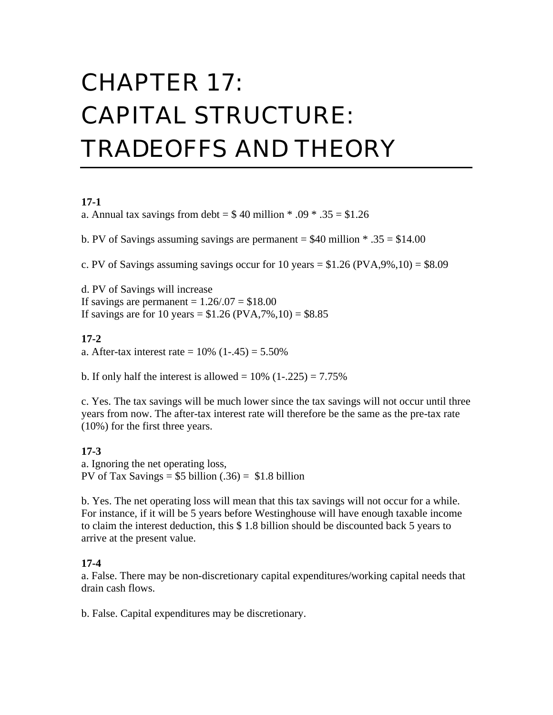# CHAPTER 17: CAPITAL STRUCTURE: TRADEOFFS AND THEORY

#### **17-1**

a. Annual tax savings from debt =  $$40$  million  $* .09 * .35 = $1.26$ 

b. PV of Savings assuming savings are permanent  $=$  \$40 million  $*$  .35  $=$  \$14.00

c. PV of Savings assuming savings occur for 10 years  $= $1.26$  (PVA,9%,10)  $= $8.09$ 

d. PV of Savings will increase If savings are permanent  $= 1.26/0.07 = $18.00$ If savings are for 10 years =  $$1.26 (PVA, 7%, 10) = $8.85$ 

#### **17-2**

a. After-tax interest rate =  $10\%$  (1-.45) = 5.50%

b. If only half the interest is allowed =  $10\%$  (1-.225) =  $7.75\%$ 

c. Yes. The tax savings will be much lower since the tax savings will not occur until three years from now. The after-tax interest rate will therefore be the same as the pre-tax rate (10%) for the first three years.

#### **17-3** a. Ignoring the net operating loss, PV of Tax Savings =  $$5$  billion (.36) =  $$1.8$  billion

b. Yes. The net operating loss will mean that this tax savings will not occur for a while. For instance, if it will be 5 years before Westinghouse will have enough taxable income to claim the interest deduction, this \$ 1.8 billion should be discounted back 5 years to arrive at the present value.

#### **17-4**

a. False. There may be non-discretionary capital expenditures/working capital needs that drain cash flows.

b. False. Capital expenditures may be discretionary.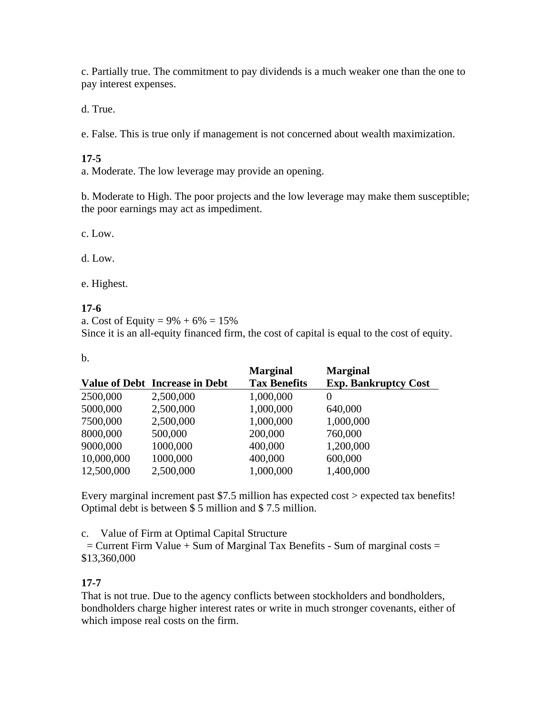c. Partially true. The commitment to pay dividends is a much weaker one than the one to pay interest expenses.

d. True.

e. False. This is true only if management is not concerned about wealth maximization.

## **17-5**

a. Moderate. The low leverage may provide an opening.

b. Moderate to High. The poor projects and the low leverage may make them susceptible; the poor earnings may act as impediment.

c. Low.

d. Low.

e. Highest.

## **17-6**

a. Cost of Equity =  $9\% + 6\% = 15\%$ 

Since it is an all-equity financed firm, the cost of capital is equal to the cost of equity.

| ×<br>٠<br>전 사             |        |
|---------------------------|--------|
| ۰.<br>×<br>۰,<br>.,<br>۰. | $\sim$ |

|                                       | <b>Marginal</b>     | <b>Marginal</b>             |
|---------------------------------------|---------------------|-----------------------------|
| <b>Value of Debt Increase in Debt</b> | <b>Tax Benefits</b> | <b>Exp. Bankruptcy Cost</b> |
| 2,500,000                             | 1,000,000           | $\theta$                    |
| 2,500,000                             | 1,000,000           | 640,000                     |
| 2,500,000                             | 1,000,000           | 1,000,000                   |
| 500,000                               | 200,000             | 760,000                     |
| 1000,000                              | 400,000             | 1,200,000                   |
| 1000,000                              | 400,000             | 600,000                     |
| 2,500,000                             | 1,000,000           | 1,400,000                   |
|                                       |                     |                             |

Every marginal increment past \$7.5 million has expected cost > expected tax benefits! Optimal debt is between \$ 5 million and \$ 7.5 million.

c. Value of Firm at Optimal Capital Structure

 $=$  Current Firm Value  $+$  Sum of Marginal Tax Benefits - Sum of marginal costs  $=$ \$13,360,000

# **17-7**

That is not true. Due to the agency conflicts between stockholders and bondholders, bondholders charge higher interest rates or write in much stronger covenants, either of which impose real costs on the firm.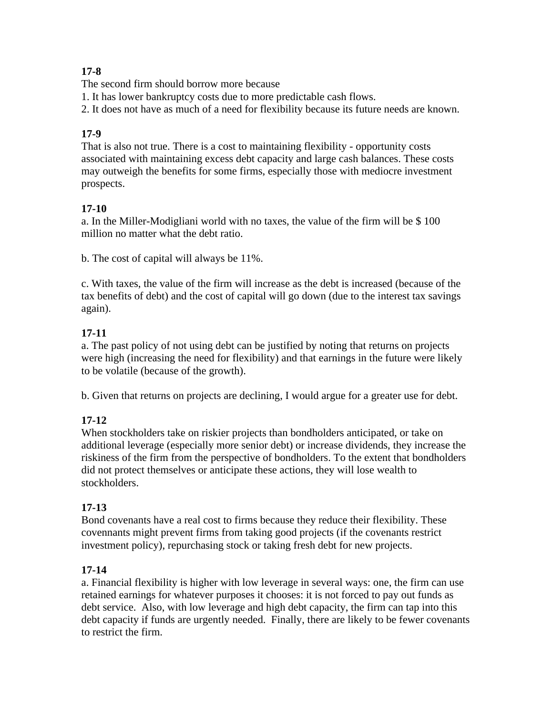# **17-8**

The second firm should borrow more because

1. It has lower bankruptcy costs due to more predictable cash flows.

2. It does not have as much of a need for flexibility because its future needs are known.

# **17-9**

That is also not true. There is a cost to maintaining flexibility - opportunity costs associated with maintaining excess debt capacity and large cash balances. These costs may outweigh the benefits for some firms, especially those with mediocre investment prospects.

# **17-10**

a. In the Miller-Modigliani world with no taxes, the value of the firm will be \$ 100 million no matter what the debt ratio.

b. The cost of capital will always be 11%.

c. With taxes, the value of the firm will increase as the debt is increased (because of the tax benefits of debt) and the cost of capital will go down (due to the interest tax savings again).

# **17-11**

a. The past policy of not using debt can be justified by noting that returns on projects were high (increasing the need for flexibility) and that earnings in the future were likely to be volatile (because of the growth).

b. Given that returns on projects are declining, I would argue for a greater use for debt.

# **17-12**

When stockholders take on riskier projects than bondholders anticipated, or take on additional leverage (especially more senior debt) or increase dividends, they increase the riskiness of the firm from the perspective of bondholders. To the extent that bondholders did not protect themselves or anticipate these actions, they will lose wealth to stockholders.

# **17-13**

Bond covenants have a real cost to firms because they reduce their flexibility. These covennants might prevent firms from taking good projects (if the covenants restrict investment policy), repurchasing stock or taking fresh debt for new projects.

# **17-14**

a. Financial flexibility is higher with low leverage in several ways: one, the firm can use retained earnings for whatever purposes it chooses: it is not forced to pay out funds as debt service. Also, with low leverage and high debt capacity, the firm can tap into this debt capacity if funds are urgently needed. Finally, there are likely to be fewer covenants to restrict the firm.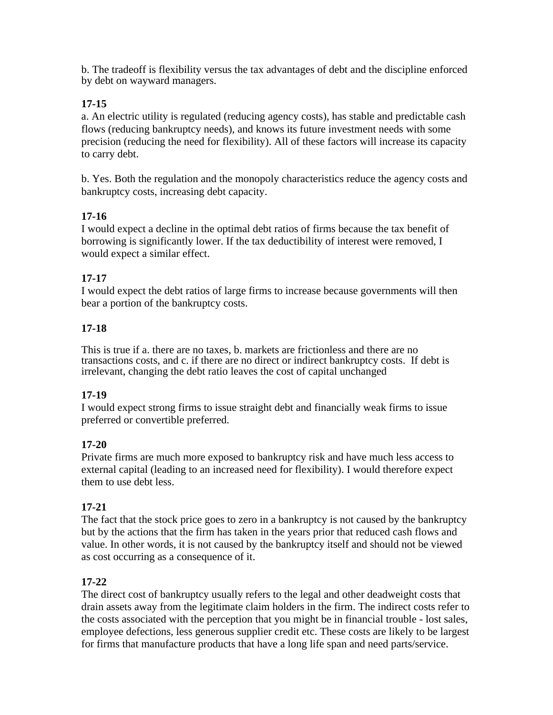b. The tradeoff is flexibility versus the tax advantages of debt and the discipline enforced by debt on wayward managers.

## **17-15**

a. An electric utility is regulated (reducing agency costs), has stable and predictable cash flows (reducing bankruptcy needs), and knows its future investment needs with some precision (reducing the need for flexibility). All of these factors will increase its capacity to carry debt.

b. Yes. Both the regulation and the monopoly characteristics reduce the agency costs and bankruptcy costs, increasing debt capacity.

## **17-16**

I would expect a decline in the optimal debt ratios of firms because the tax benefit of borrowing is significantly lower. If the tax deductibility of interest were removed, I would expect a similar effect.

# **17-17**

I would expect the debt ratios of large firms to increase because governments will then bear a portion of the bankruptcy costs.

## **17-18**

This is true if a. there are no taxes, b. markets are frictionless and there are no transactions costs, and c. if there are no direct or indirect bankruptcy costs. If debt is irrelevant, changing the debt ratio leaves the cost of capital unchanged

## **17-19**

I would expect strong firms to issue straight debt and financially weak firms to issue preferred or convertible preferred.

# **17-20**

Private firms are much more exposed to bankruptcy risk and have much less access to external capital (leading to an increased need for flexibility). I would therefore expect them to use debt less.

# **17-21**

The fact that the stock price goes to zero in a bankruptcy is not caused by the bankruptcy but by the actions that the firm has taken in the years prior that reduced cash flows and value. In other words, it is not caused by the bankruptcy itself and should not be viewed as cost occurring as a consequence of it.

## **17-22**

The direct cost of bankruptcy usually refers to the legal and other deadweight costs that drain assets away from the legitimate claim holders in the firm. The indirect costs refer to the costs associated with the perception that you might be in financial trouble - lost sales, employee defections, less generous supplier credit etc. These costs are likely to be largest for firms that manufacture products that have a long life span and need parts/service.